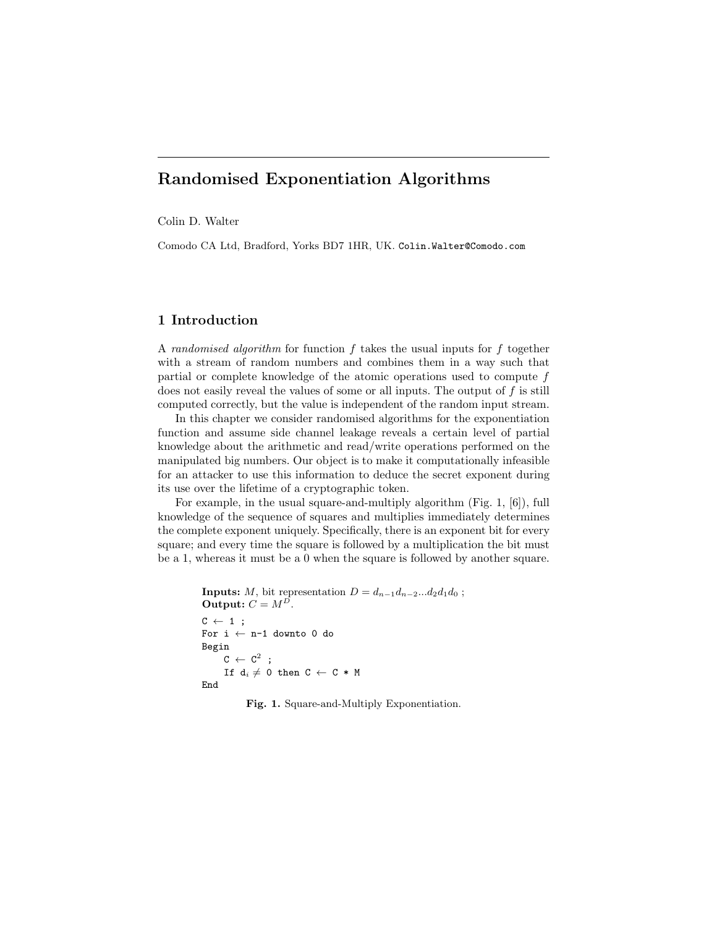# Randomised Exponentiation Algorithms

Colin D. Walter

Comodo CA Ltd, Bradford, Yorks BD7 1HR, UK. Colin.Walter@Comodo.com

# 1 Introduction

A randomised algorithm for function  $f$  takes the usual inputs for  $f$  together with a stream of random numbers and combines them in a way such that partial or complete knowledge of the atomic operations used to compute f does not easily reveal the values of some or all inputs. The output of  $f$  is still computed correctly, but the value is independent of the random input stream.

In this chapter we consider randomised algorithms for the exponentiation function and assume side channel leakage reveals a certain level of partial knowledge about the arithmetic and read/write operations performed on the manipulated big numbers. Our object is to make it computationally infeasible for an attacker to use this information to deduce the secret exponent during its use over the lifetime of a cryptographic token.

For example, in the usual square-and-multiply algorithm (Fig. 1, [6]), full knowledge of the sequence of squares and multiplies immediately determines the complete exponent uniquely. Specifically, there is an exponent bit for every square; and every time the square is followed by a multiplication the bit must be a 1, whereas it must be a 0 when the square is followed by another square.

```
Inputs: M, bit representation D = d_{n-1}d_{n-2}...d_2d_1d_0;
Output: C = M^D.
C \leftarrow 1;
For i \leftarrow n-1 downto 0 do
Begin
      \texttt{C}\ \leftarrow\ \texttt{C}^2 ;
      If d_i \neq 0 then C \leftarrow C * MEnd
```
Fig. 1. Square-and-Multiply Exponentiation.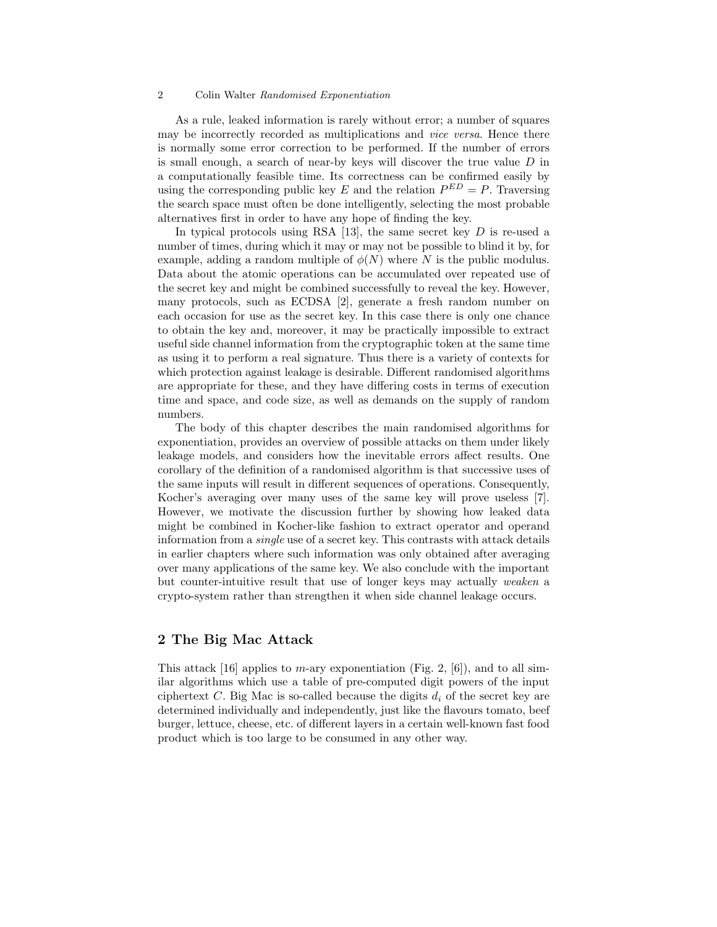As a rule, leaked information is rarely without error; a number of squares may be incorrectly recorded as multiplications and vice versa. Hence there is normally some error correction to be performed. If the number of errors is small enough, a search of near-by keys will discover the true value  $D$  in a computationally feasible time. Its correctness can be confirmed easily by using the corresponding public key E and the relation  $P^{ED} = P$ . Traversing the search space must often be done intelligently, selecting the most probable alternatives first in order to have any hope of finding the key.

In typical protocols using RSA  $[13]$ , the same secret key D is re-used a number of times, during which it may or may not be possible to blind it by, for example, adding a random multiple of  $\phi(N)$  where N is the public modulus. Data about the atomic operations can be accumulated over repeated use of the secret key and might be combined successfully to reveal the key. However, many protocols, such as ECDSA [2], generate a fresh random number on each occasion for use as the secret key. In this case there is only one chance to obtain the key and, moreover, it may be practically impossible to extract useful side channel information from the cryptographic token at the same time as using it to perform a real signature. Thus there is a variety of contexts for which protection against leakage is desirable. Different randomised algorithms are appropriate for these, and they have differing costs in terms of execution time and space, and code size, as well as demands on the supply of random numbers.

The body of this chapter describes the main randomised algorithms for exponentiation, provides an overview of possible attacks on them under likely leakage models, and considers how the inevitable errors affect results. One corollary of the definition of a randomised algorithm is that successive uses of the same inputs will result in different sequences of operations. Consequently, Kocher's averaging over many uses of the same key will prove useless [7]. However, we motivate the discussion further by showing how leaked data might be combined in Kocher-like fashion to extract operator and operand information from a *single* use of a secret key. This contrasts with attack details in earlier chapters where such information was only obtained after averaging over many applications of the same key. We also conclude with the important but counter-intuitive result that use of longer keys may actually weaken a crypto-system rather than strengthen it when side channel leakage occurs.

# 2 The Big Mac Attack

This attack [16] applies to *m*-ary exponentiation (Fig. 2, [6]), and to all similar algorithms which use a table of pre-computed digit powers of the input ciphertext C. Big Mac is so-called because the digits  $d_i$  of the secret key are determined individually and independently, just like the flavours tomato, beef burger, lettuce, cheese, etc. of different layers in a certain well-known fast food product which is too large to be consumed in any other way.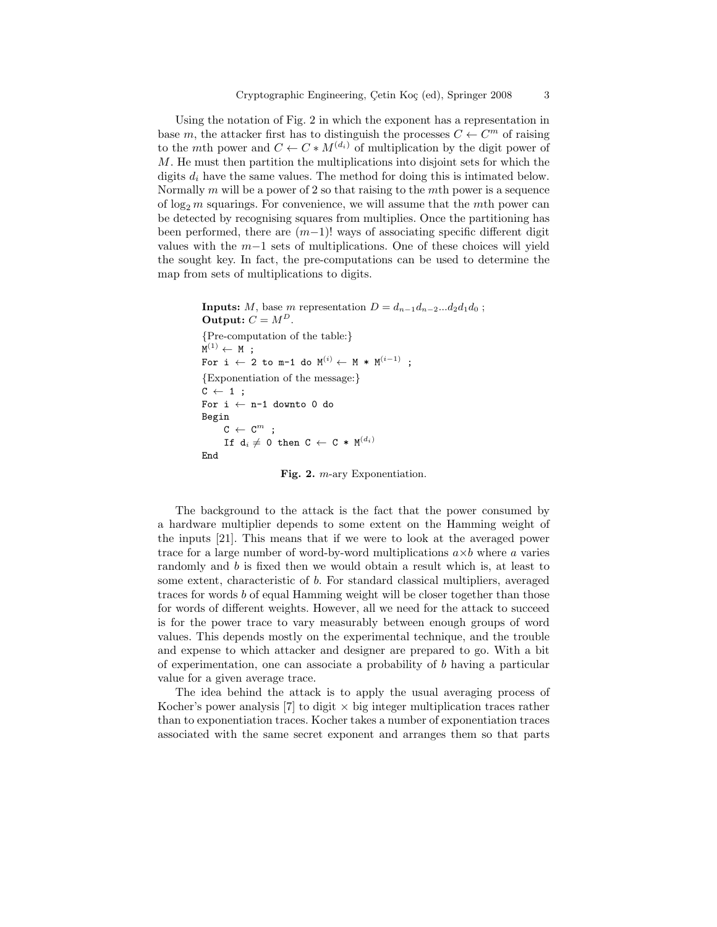Using the notation of Fig. 2 in which the exponent has a representation in base m, the attacker first has to distinguish the processes  $C \leftarrow C^m$  of raising to the mth power and  $C \leftarrow C * M^{(d_i)}$  of multiplication by the digit power of M. He must then partition the multiplications into disjoint sets for which the digits  $d_i$  have the same values. The method for doing this is intimated below. Normally  $m$  will be a power of 2 so that raising to the  $m$ th power is a sequence of  $\log_2 m$  squarings. For convenience, we will assume that the mth power can be detected by recognising squares from multiplies. Once the partitioning has been performed, there are  $(m-1)!$  ways of associating specific different digit values with the  $m-1$  sets of multiplications. One of these choices will yield the sought key. In fact, the pre-computations can be used to determine the map from sets of multiplications to digits.

```
Inputs: M, base m representation D = d_{n-1}d_{n-2}...d_2d_1d_0;
Output: C = M^D.
{Pre-computation of the table:}
\mathtt{M}^{(1)}\leftarrow\mathtt{M} ;
For i \leftarrow 2 to m-1 do M^{(i)} \leftarrow M * M^{(i-1)} :
{Exponentiation of the message:}
C \leftarrow 1;
For i \leftarrow n-1 downto 0 do
Begin
        C \leftarrow C^{m} ;
       \begin{array}{lclclcl} \texttt{If} & \texttt{d}_i \neq \texttt{0} & \texttt{then} & \texttt{C} & \leftarrow \texttt{C} * \texttt{M}^{(d_i)} \end{array}End
```
Fig. 2. m-ary Exponentiation.

The background to the attack is the fact that the power consumed by a hardware multiplier depends to some extent on the Hamming weight of the inputs [21]. This means that if we were to look at the averaged power trace for a large number of word-by-word multiplications  $a \times b$  where a varies randomly and b is fixed then we would obtain a result which is, at least to some extent, characteristic of b. For standard classical multipliers, averaged traces for words b of equal Hamming weight will be closer together than those for words of different weights. However, all we need for the attack to succeed is for the power trace to vary measurably between enough groups of word values. This depends mostly on the experimental technique, and the trouble and expense to which attacker and designer are prepared to go. With a bit of experimentation, one can associate a probability of b having a particular value for a given average trace.

The idea behind the attack is to apply the usual averaging process of Kocher's power analysis [7] to digit  $\times$  big integer multiplication traces rather than to exponentiation traces. Kocher takes a number of exponentiation traces associated with the same secret exponent and arranges them so that parts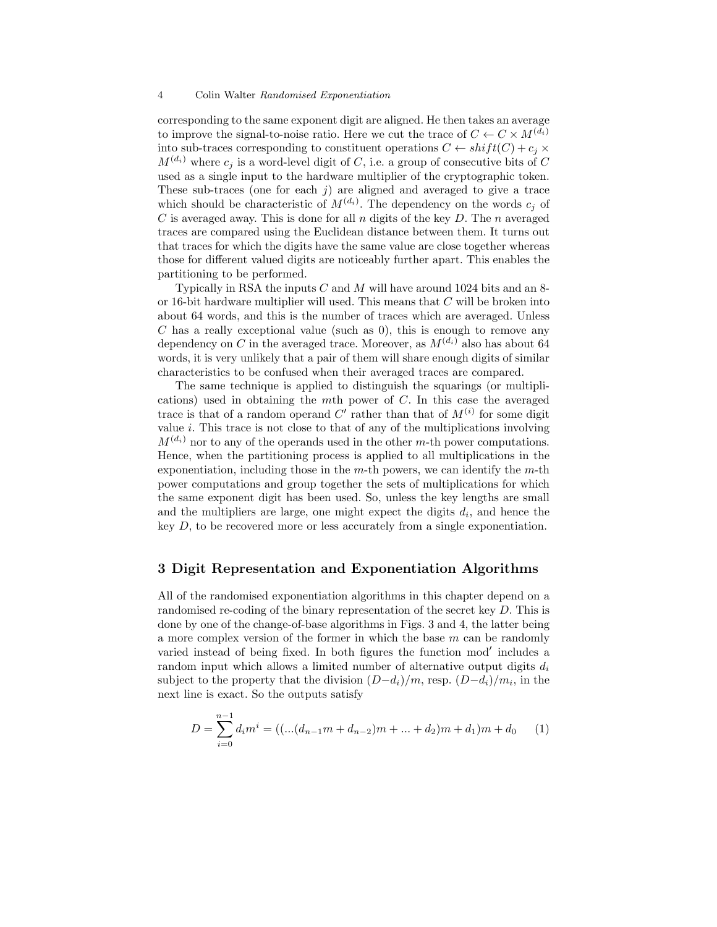corresponding to the same exponent digit are aligned. He then takes an average to improve the signal-to-noise ratio. Here we cut the trace of  $C \leftarrow C \times M^{(d_i)}$ into sub-traces corresponding to constituent operations  $C \leftarrow shift(C) + c_i \times$  $M^{(d_i)}$  where  $c_j$  is a word-level digit of C, i.e. a group of consecutive bits of C used as a single input to the hardware multiplier of the cryptographic token. These sub-traces (one for each  $j$ ) are aligned and averaged to give a trace which should be characteristic of  $M^{(d_i)}$ . The dependency on the words  $c_j$  of  $C$  is averaged away. This is done for all  $n$  digits of the key  $D$ . The  $n$  averaged traces are compared using the Euclidean distance between them. It turns out that traces for which the digits have the same value are close together whereas those for different valued digits are noticeably further apart. This enables the partitioning to be performed.

Typically in RSA the inputs  $C$  and  $M$  will have around 1024 bits and an 8or 16-bit hardware multiplier will used. This means that C will be broken into about 64 words, and this is the number of traces which are averaged. Unless  $C$  has a really exceptional value (such as 0), this is enough to remove any dependency on C in the averaged trace. Moreover, as  $M^{(d_i)}$  also has about 64 words, it is very unlikely that a pair of them will share enough digits of similar characteristics to be confused when their averaged traces are compared.

The same technique is applied to distinguish the squarings (or multiplications) used in obtaining the mth power of  $C$ . In this case the averaged trace is that of a random operand C' rather than that of  $M^{(i)}$  for some digit value  $i$ . This trace is not close to that of any of the multiplications involving  $M^{(d_i)}$  nor to any of the operands used in the other m-th power computations. Hence, when the partitioning process is applied to all multiplications in the exponentiation, including those in the  $m$ -th powers, we can identify the  $m$ -th power computations and group together the sets of multiplications for which the same exponent digit has been used. So, unless the key lengths are small and the multipliers are large, one might expect the digits  $d_i$ , and hence the key D, to be recovered more or less accurately from a single exponentiation.

## 3 Digit Representation and Exponentiation Algorithms

All of the randomised exponentiation algorithms in this chapter depend on a randomised re-coding of the binary representation of the secret key D. This is done by one of the change-of-base algorithms in Figs. 3 and 4, the latter being a more complex version of the former in which the base  $m$  can be randomly varied instead of being fixed. In both figures the function mod' includes a random input which allows a limited number of alternative output digits  $d_i$ subject to the property that the division  $(D-d_i)/m$ , resp.  $(D-d_i)/m_i$ , in the next line is exact. So the outputs satisfy

$$
D = \sum_{i=0}^{n-1} d_i m^i = ((...(d_{n-1}m + d_{n-2})m + ... + d_2)m + d_1)m + d_0 \tag{1}
$$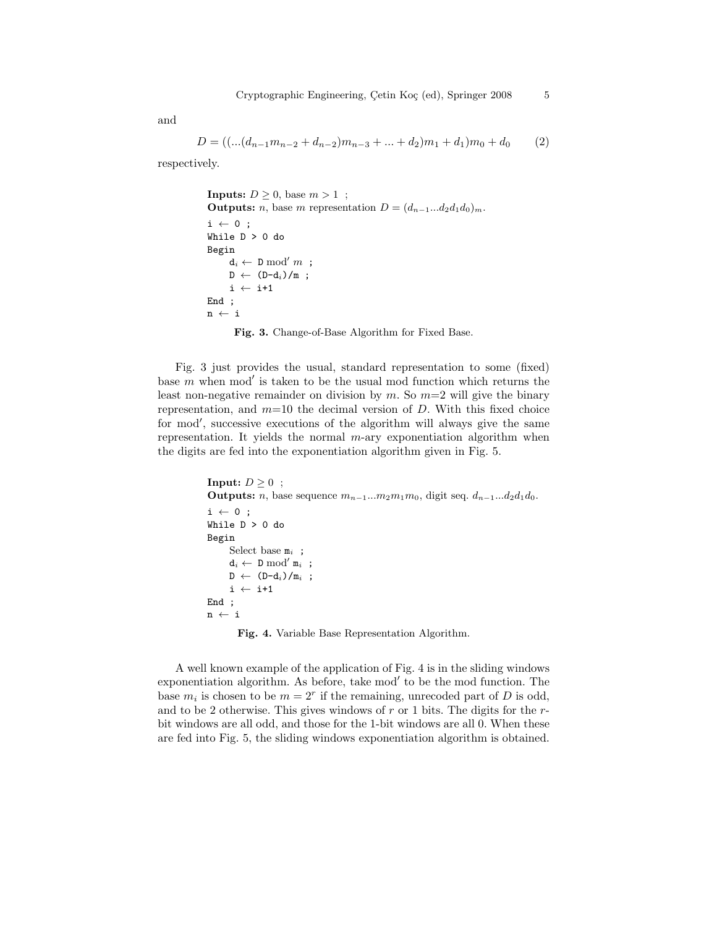and

$$
D = \left( \dots (d_{n-1}m_{n-2} + d_{n-2})m_{n-3} + \dots + d_2 \right) m_1 + d_1 \right) m_0 + d_0 \tag{2}
$$

respectively.

```
Inputs: D \geq 0, base m > 1;
Outputs: n, base m representation D = (d_{n-1}...d_2d_1d_0)_m.
i \leftarrow 0;
While D > 0 do
Begin
     d_i \leftarrow D \mod' m;
     D \leftarrow (D-d_i)/m;
     i \leftarrow i+1End ;
\mathtt{n}\ \leftarrow\ \mathtt{i}Fig. 3. Change-of-Base Algorithm for Fixed Base.
```
Fig. 3 just provides the usual, standard representation to some (fixed) base  $m$  when mod' is taken to be the usual mod function which returns the least non-negative remainder on division by m. So  $m=2$  will give the binary representation, and  $m=10$  the decimal version of  $D$ . With this fixed choice for mod', successive executions of the algorithm will always give the same representation. It yields the normal  $m$ -ary exponentiation algorithm when the digits are fed into the exponentiation algorithm given in Fig. 5.

```
Input: D > 0 ;
Outputs: n, base sequence m_{n-1}...m_2m_1m_0, digit seq. d_{n-1}...d_2d_1d_0.
i \leftarrow 0;
While D > 0 do
Begin
      Select base m_i;
      d_i \leftarrow \texttt{D} \bmod' \mathtt{m}_i ;
      D \leftarrow (D-d_i)/m_i;i \leftarrow i+1End ;
n ← i
```
Fig. 4. Variable Base Representation Algorithm.

A well known example of the application of Fig. 4 is in the sliding windows exponentiation algorithm. As before, take mod' to be the mod function. The base  $m_i$  is chosen to be  $m = 2^r$  if the remaining, unrecoded part of D is odd, and to be 2 otherwise. This gives windows of r or 1 bits. The digits for the  $r$ bit windows are all odd, and those for the 1-bit windows are all 0. When these are fed into Fig. 5, the sliding windows exponentiation algorithm is obtained.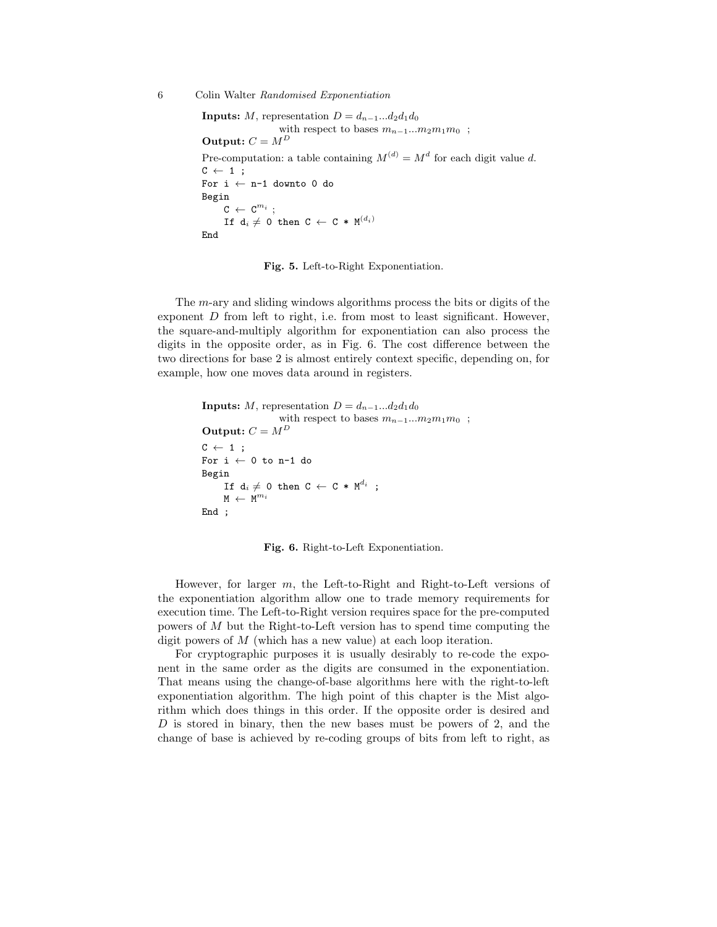```
Inputs: M, representation D = d_{n-1}...d_2d_1d_0with respect to bases m_{n-1}...m_2m_1m_0;
Output: \mathcal{C} = \mathcal{M}^DPre-computation: a table containing M^{(d)} = M^d for each digit value d.
C \leftarrow 1 :
For i \leftarrow n-1 downto 0 do
Begin
      \texttt{C} \ \leftarrow \ \texttt{C}^{m_i} \ ;If d_i \neq 0 then C \leftarrow C * M^{(d_i)}End
```
Fig. 5. Left-to-Right Exponentiation.

The m-ary and sliding windows algorithms process the bits or digits of the exponent  $D$  from left to right, i.e. from most to least significant. However, the square-and-multiply algorithm for exponentiation can also process the digits in the opposite order, as in Fig. 6. The cost difference between the two directions for base 2 is almost entirely context specific, depending on, for example, how one moves data around in registers.

```
Inputs: M, representation D = d_{n-1}...d_2d_1d_0with respect to bases m_{n-1}...m_2m_1m_0;
Output: C = M^DC \leftarrow 1 :
For i \leftarrow 0 to n-1 do
Begin
     If d_i \neq 0 then C \leftarrow C * M^{d_i};
      M \leftarrow M^{m_i}End ;
```
Fig. 6. Right-to-Left Exponentiation.

However, for larger  $m$ , the Left-to-Right and Right-to-Left versions of the exponentiation algorithm allow one to trade memory requirements for execution time. The Left-to-Right version requires space for the pre-computed powers of M but the Right-to-Left version has to spend time computing the digit powers of M (which has a new value) at each loop iteration.

For cryptographic purposes it is usually desirably to re-code the exponent in the same order as the digits are consumed in the exponentiation. That means using the change-of-base algorithms here with the right-to-left exponentiation algorithm. The high point of this chapter is the Mist algorithm which does things in this order. If the opposite order is desired and D is stored in binary, then the new bases must be powers of 2, and the change of base is achieved by re-coding groups of bits from left to right, as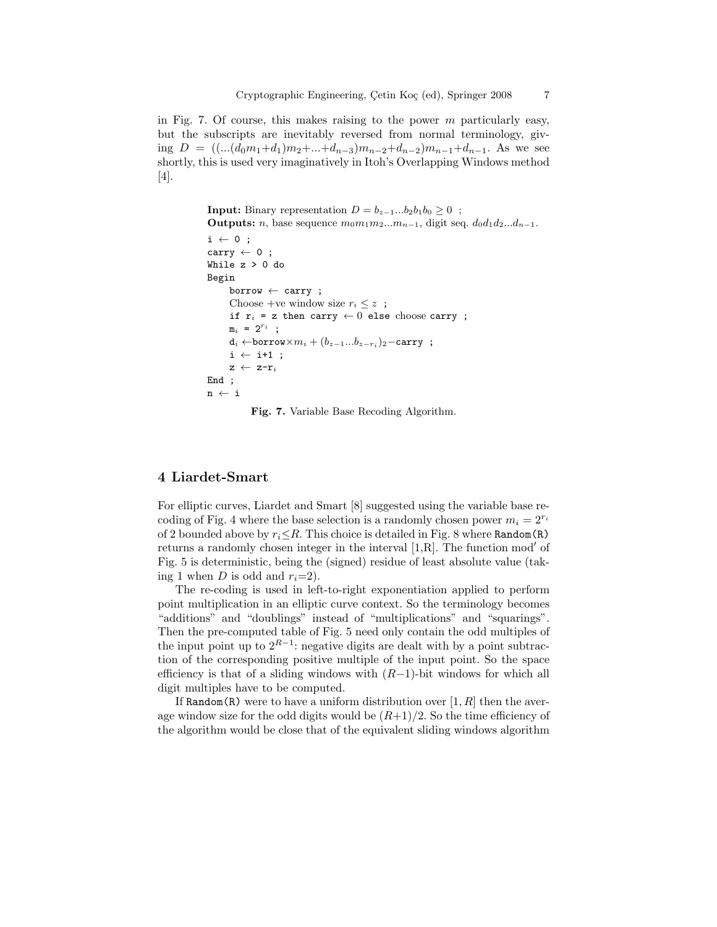in Fig. 7. Of course, this makes raising to the power  $m$  particularly easy, but the subscripts are inevitably reversed from normal terminology, giving  $D = ((...(d_0m_1+d_1)m_2+...+d_{n-3})m_{n-2}+d_{n-2})m_{n-1}+d_{n-1}$ . As we see shortly, this is used very imaginatively in Itoh's Overlapping Windows method [4].

```
Input: Binary representation D = b_{z-1}...b_2b_1b_0 > 0;
Outputs: n, base sequence m_0m_1m_2...m_{n-1}, digit seq. d_0d_1d_2...d_{n-1}.
i \leftarrow 0;
carry \leftarrow 0;
While z > 0 do
Begin
      \texttt{borrow} \leftarrow \texttt{carry};
      Choose +ve window size r_i \leq z;
      if r_i = z then carry \leftarrow 0 else choose carry ;
      m_i = 2^{r_i};
       \mathsf{d}_i \leftarrow \texttt{borrow} \times m_i + (b_{z-1}...b_{z-r_i})_2 - \texttt{carry};
      i \leftarrow i+1;
      z \leftarrow z-r_iEnd ;
n \leftarrow i
```
Fig. 7. Variable Base Recoding Algorithm.

# 4 Liardet-Smart

For elliptic curves, Liardet and Smart [8] suggested using the variable base recoding of Fig. 4 where the base selection is a randomly chosen power  $m_i = 2^{r_i}$ of 2 bounded above by  $r_i \leq R$ . This choice is detailed in Fig. 8 where Random(R) returns a randomly chosen integer in the interval  $[1,R]$ . The function mod' of Fig. 5 is deterministic, being the (signed) residue of least absolute value (taking 1 when D is odd and  $r_i=2$ ).

The re-coding is used in left-to-right exponentiation applied to perform point multiplication in an elliptic curve context. So the terminology becomes "additions" and "doublings" instead of "multiplications" and "squarings". Then the pre-computed table of Fig. 5 need only contain the odd multiples of the input point up to  $2^{R-1}$ : negative digits are dealt with by a point subtraction of the corresponding positive multiple of the input point. So the space efficiency is that of a sliding windows with  $(R-1)$ -bit windows for which all digit multiples have to be computed.

If Random(R) were to have a uniform distribution over  $[1, R]$  then the average window size for the odd digits would be  $(R+1)/2$ . So the time efficiency of the algorithm would be close that of the equivalent sliding windows algorithm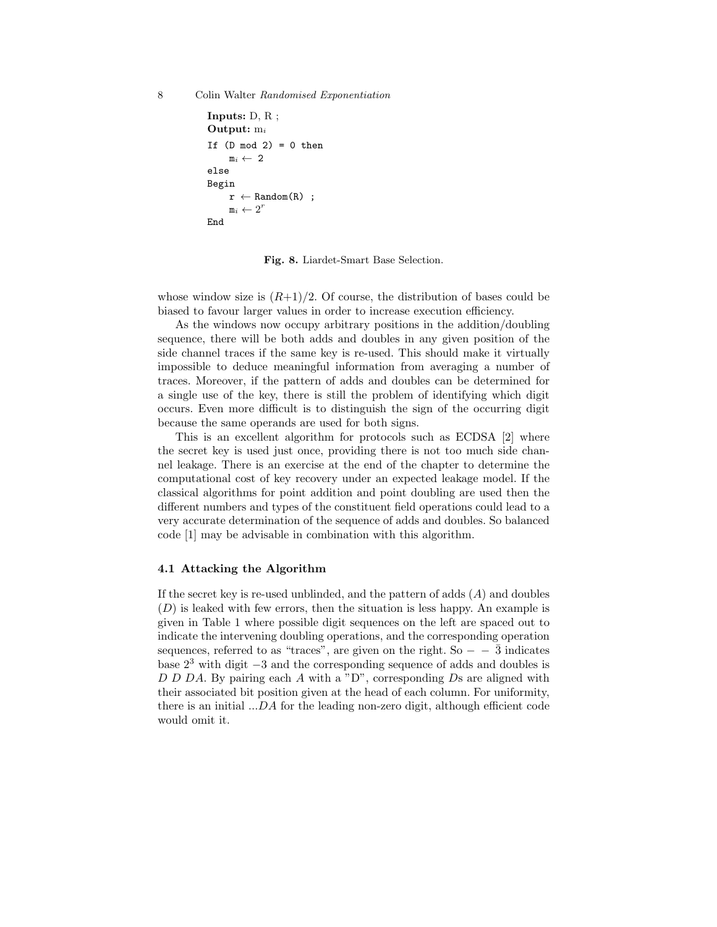```
Inputs: D, R ;
Output: m<sub>i</sub>
If (D \mod 2) = 0 then
      m_i \leftarrow 2else
Begin
      r \leftarrow Random(R);
       \mathbf{m}_i \leftarrow 2^rEnd
```
Fig. 8. Liardet-Smart Base Selection.

whose window size is  $(R+1)/2$ . Of course, the distribution of bases could be biased to favour larger values in order to increase execution efficiency.

As the windows now occupy arbitrary positions in the addition/doubling sequence, there will be both adds and doubles in any given position of the side channel traces if the same key is re-used. This should make it virtually impossible to deduce meaningful information from averaging a number of traces. Moreover, if the pattern of adds and doubles can be determined for a single use of the key, there is still the problem of identifying which digit occurs. Even more difficult is to distinguish the sign of the occurring digit because the same operands are used for both signs.

This is an excellent algorithm for protocols such as ECDSA [2] where the secret key is used just once, providing there is not too much side channel leakage. There is an exercise at the end of the chapter to determine the computational cost of key recovery under an expected leakage model. If the classical algorithms for point addition and point doubling are used then the different numbers and types of the constituent field operations could lead to a very accurate determination of the sequence of adds and doubles. So balanced code [1] may be advisable in combination with this algorithm.

### 4.1 Attacking the Algorithm

If the secret key is re-used unblinded, and the pattern of adds  $(A)$  and doubles  $(D)$  is leaked with few errors, then the situation is less happy. An example is given in Table 1 where possible digit sequences on the left are spaced out to indicate the intervening doubling operations, and the corresponding operation sequences, referred to as "traces", are given on the right. So  $\bar{3}$  indicates base  $2<sup>3</sup>$  with digit  $-3$  and the corresponding sequence of adds and doubles is  $D$  D  $D$  A. By pairing each A with a "D", corresponding  $D$ s are aligned with their associated bit position given at the head of each column. For uniformity, there is an initial ...DA for the leading non-zero digit, although efficient code would omit it.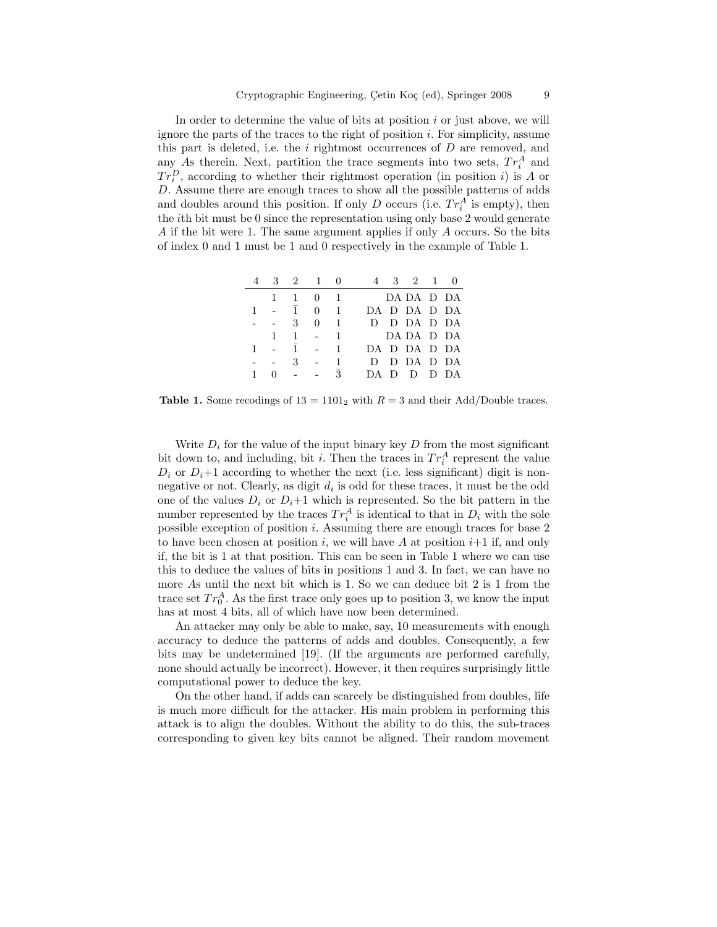In order to determine the value of bits at position  $i$  or just above, we will ignore the parts of the traces to the right of position  $i$ . For simplicity, assume this part is deleted, i.e. the  $i$  rightmost occurrences of  $D$  are removed, and any As therein. Next, partition the trace segments into two sets,  $Tr_i^A$  and  $Tr_i^D$ , according to whether their rightmost operation (in position *i*) is A or D. Assume there are enough traces to show all the possible patterns of adds and doubles around this position. If only  $D$  occurs (i.e.  $Tr_i^A$  is empty), then the ith bit must be 0 since the representation using only base 2 would generate A if the bit were 1. The same argument applies if only A occurs. So the bits of index 0 and 1 must be 1 and 0 respectively in the example of Table 1.

|              |         | 4 3 2 1 0                   |             |              | 4 3 2 1 0    |
|--------------|---------|-----------------------------|-------------|--------------|--------------|
|              |         | 1 1 0 1                     |             |              | DA DA D DA   |
| $1 \quad$    |         | $-1$                        | $0 \quad 1$ |              | DA D DA D DA |
|              | $- - 3$ |                             | $0 \quad 1$ |              | D D DA D DA  |
|              |         | $1 \quad 1 \quad - \quad 1$ |             |              | DA DA D DA   |
|              |         | $1 \t - 1 \t -$             |             | $\mathbf{1}$ | DA D DA D DA |
|              |         | $- - 3 - -$                 |             | $\mathbf{1}$ | D D DA D DA  |
| $\mathbf{1}$ |         | $0 - - -$                   |             | $\bar{3}$    | DAD D D DA   |

**Table 1.** Some recodings of  $13 = 1101_2$  with  $R = 3$  and their Add/Double traces.

Write  $D_i$  for the value of the input binary key  $D$  from the most significant bit down to, and including, bit *i*. Then the traces in  $Tr_i^A$  represent the value  $D_i$  or  $D_i+1$  according to whether the next (i.e. less significant) digit is nonnegative or not. Clearly, as digit  $d_i$  is odd for these traces, it must be the odd one of the values  $D_i$  or  $D_i+1$  which is represented. So the bit pattern in the number represented by the traces  $Tr_i^A$  is identical to that in  $D_i$  with the sole possible exception of position i. Assuming there are enough traces for base 2 to have been chosen at position i, we will have A at position  $i+1$  if, and only if, the bit is 1 at that position. This can be seen in Table 1 where we can use this to deduce the values of bits in positions 1 and 3. In fact, we can have no more As until the next bit which is 1. So we can deduce bit 2 is 1 from the trace set  $Tr_0^A$ . As the first trace only goes up to position 3, we know the input has at most 4 bits, all of which have now been determined.

An attacker may only be able to make, say, 10 measurements with enough accuracy to deduce the patterns of adds and doubles. Consequently, a few bits may be undetermined [19]. (If the arguments are performed carefully, none should actually be incorrect). However, it then requires surprisingly little computational power to deduce the key.

On the other hand, if adds can scarcely be distinguished from doubles, life is much more difficult for the attacker. His main problem in performing this attack is to align the doubles. Without the ability to do this, the sub-traces corresponding to given key bits cannot be aligned. Their random movement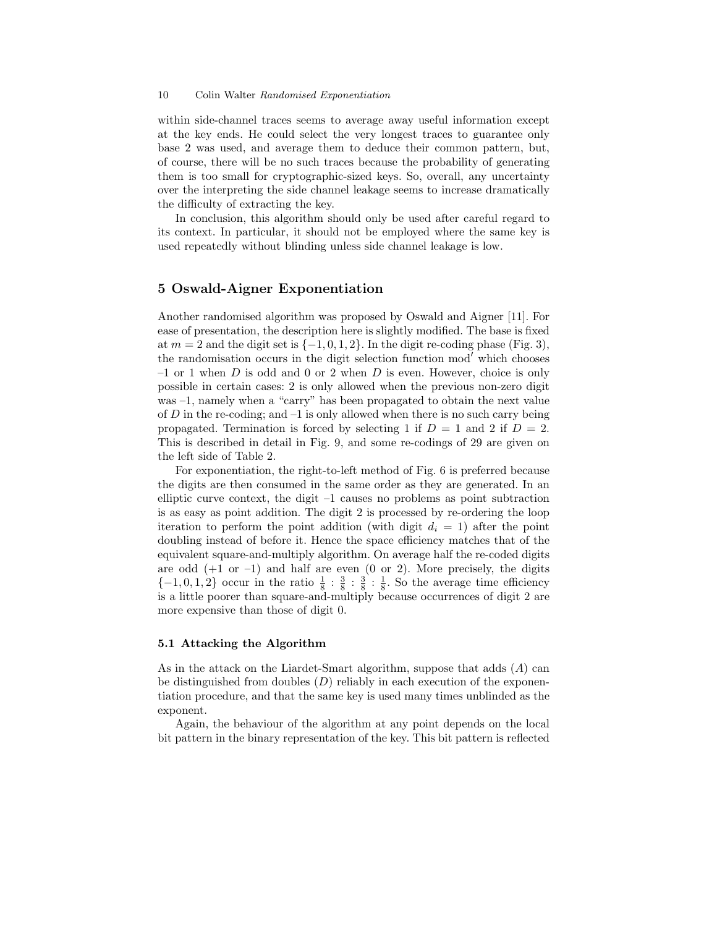within side-channel traces seems to average away useful information except at the key ends. He could select the very longest traces to guarantee only base 2 was used, and average them to deduce their common pattern, but, of course, there will be no such traces because the probability of generating them is too small for cryptographic-sized keys. So, overall, any uncertainty over the interpreting the side channel leakage seems to increase dramatically the difficulty of extracting the key.

In conclusion, this algorithm should only be used after careful regard to its context. In particular, it should not be employed where the same key is used repeatedly without blinding unless side channel leakage is low.

# 5 Oswald-Aigner Exponentiation

Another randomised algorithm was proposed by Oswald and Aigner [11]. For ease of presentation, the description here is slightly modified. The base is fixed at  $m = 2$  and the digit set is  $\{-1, 0, 1, 2\}$ . In the digit re-coding phase (Fig. 3), the randomisation occurs in the digit selection function mod' which chooses  $-1$  or 1 when D is odd and 0 or 2 when D is even. However, choice is only possible in certain cases: 2 is only allowed when the previous non-zero digit was –1, namely when a "carry" has been propagated to obtain the next value of  $D$  in the re-coding; and  $-1$  is only allowed when there is no such carry being propagated. Termination is forced by selecting 1 if  $D = 1$  and 2 if  $D = 2$ . This is described in detail in Fig. 9, and some re-codings of 29 are given on the left side of Table 2.

For exponentiation, the right-to-left method of Fig. 6 is preferred because the digits are then consumed in the same order as they are generated. In an elliptic curve context, the digit  $-1$  causes no problems as point subtraction is as easy as point addition. The digit 2 is processed by re-ordering the loop iteration to perform the point addition (with digit  $d_i = 1$ ) after the point doubling instead of before it. Hence the space efficiency matches that of the equivalent square-and-multiply algorithm. On average half the re-coded digits are odd  $(+1 \text{ or } -1)$  and half are even  $(0 \text{ or } 2)$ . More precisely, the digits  $\{-1,0,1,2\}$  occur in the ratio  $\frac{1}{8}:\frac{3}{8}:\frac{3}{8}:\frac{1}{8}$ . So the average time efficiency is a little poorer than square-and-multiply because occurrences of digit 2 are more expensive than those of digit 0.

### 5.1 Attacking the Algorithm

As in the attack on the Liardet-Smart algorithm, suppose that adds  $(A)$  can be distinguished from doubles  $(D)$  reliably in each execution of the exponentiation procedure, and that the same key is used many times unblinded as the exponent.

Again, the behaviour of the algorithm at any point depends on the local bit pattern in the binary representation of the key. This bit pattern is reflected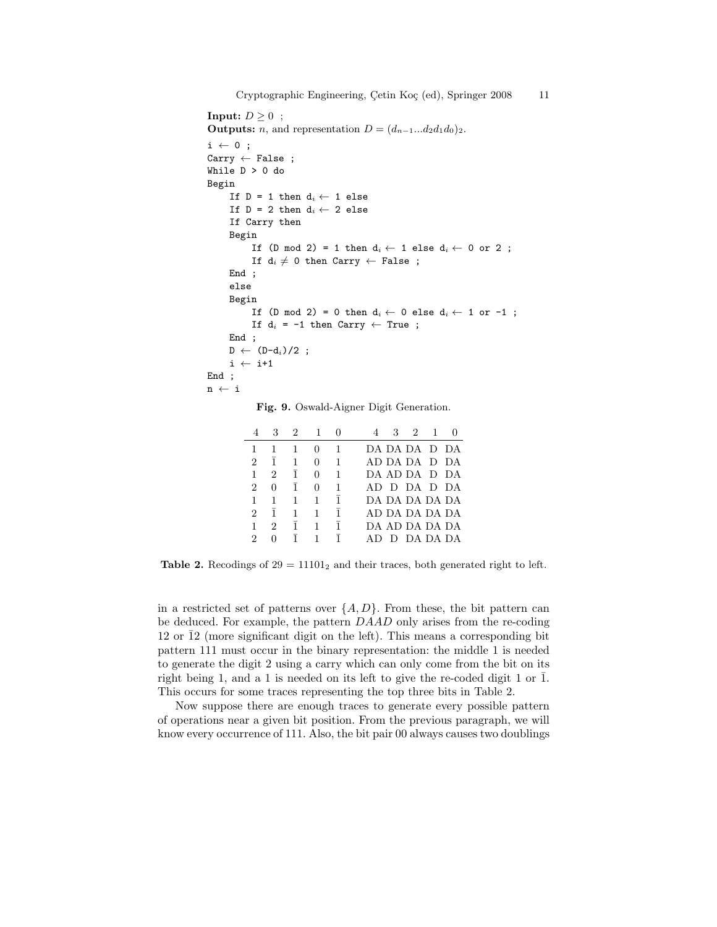```
Input: D \geq 0 ;
Outputs: n, and representation D = (d_{n-1}...d_2d_1d_0)_2.
i \leftarrow 0;
Carry \leftarrow False;
While D > 0 do
Begin
     If D = 1 then d_i \leftarrow 1 else
     If D = 2 then d_i \leftarrow 2 else
     If Carry then
     Begin
          If (D mod 2) = 1 then d_i \leftarrow 1 else d_i \leftarrow 0 or 2;
          If d_i \neq 0 then Carry \leftarrow False ;
     End ;
     else
     Begin
          If (D mod 2) = 0 then d_i \leftarrow 0 else d_i \leftarrow 1 or -1;
          If d_i = -1 then Carry \leftarrow True;
     End ;
     D \leftarrow (D-d_i)/2;
     i \leftarrow i+1End ;
n ← i
```
Fig. 9. Oswald-Aigner Digit Generation.

|               | 3              | $\overline{2}$ | 1            |   | 3<br>-2<br>-1    |
|---------------|----------------|----------------|--------------|---|------------------|
| 1             |                |                | $^{(1)}$     |   | DA DA DA -D-DA   |
| $\mathcal{D}$ | 1              | 1              | $\mathbf{0}$ |   | AD DA DA D DA    |
| 1             | 2              | $\mathbf{1}$   | 0            |   | DA AD DA - D- DA |
| 2             | $\mathbf{0}$   | 1              | $\mathbf{0}$ |   | AD D DA D DA     |
| 1             | 1              | 1              | 1            | 1 | DA DA DA DA DA   |
| 2             | ī.             | 1              | 1            | 1 | AD DA DA DA DA   |
| 1             | $\mathfrak{D}$ | $\mathbf{1}$   |              | 1 | DA AD DA DA DA   |
| 2             |                |                |              | 1 | D DA DA DA       |

Table 2. Recodings of  $29 = 11101_2$  and their traces, both generated right to left.

in a restricted set of patterns over  $\{A, D\}$ . From these, the bit pattern can be deduced. For example, the pattern DAAD only arises from the re-coding 12 or  $\overline{1}2$  (more significant digit on the left). This means a corresponding bit pattern 111 must occur in the binary representation: the middle 1 is needed to generate the digit 2 using a carry which can only come from the bit on its right being 1, and a 1 is needed on its left to give the re-coded digit 1 or  $\overline{1}$ . This occurs for some traces representing the top three bits in Table 2.

Now suppose there are enough traces to generate every possible pattern of operations near a given bit position. From the previous paragraph, we will know every occurrence of 111. Also, the bit pair 00 always causes two doublings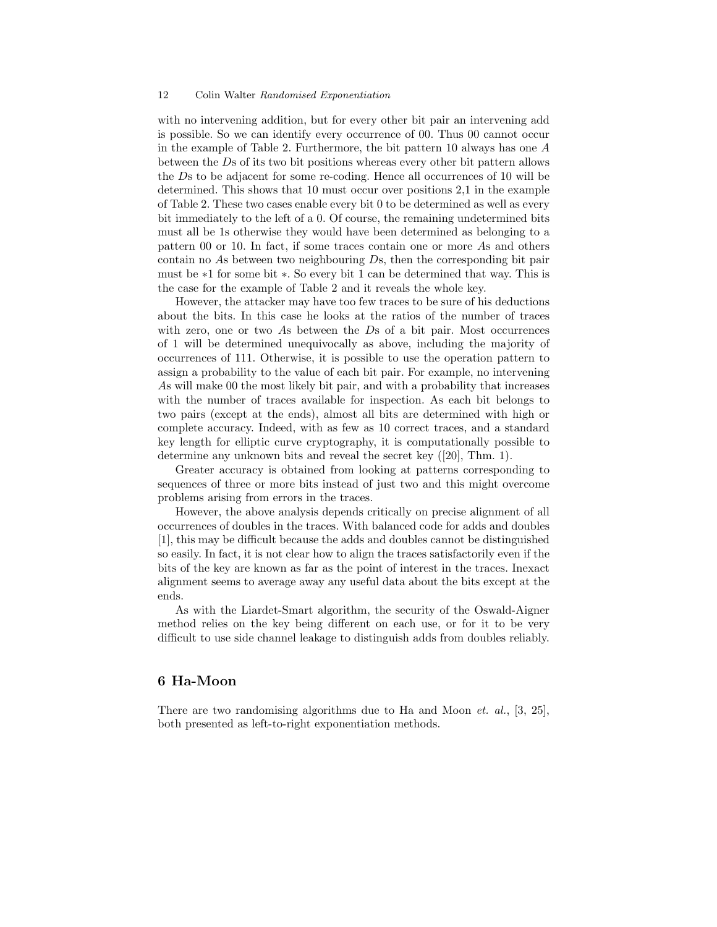with no intervening addition, but for every other bit pair an intervening add is possible. So we can identify every occurrence of 00. Thus 00 cannot occur in the example of Table 2. Furthermore, the bit pattern 10 always has one  $A$ between the Ds of its two bit positions whereas every other bit pattern allows the Ds to be adjacent for some re-coding. Hence all occurrences of 10 will be determined. This shows that 10 must occur over positions 2,1 in the example of Table 2. These two cases enable every bit 0 to be determined as well as every bit immediately to the left of a 0. Of course, the remaining undetermined bits must all be 1s otherwise they would have been determined as belonging to a pattern 00 or 10. In fact, if some traces contain one or more As and others contain no As between two neighbouring Ds, then the corresponding bit pair must be ∗1 for some bit ∗. So every bit 1 can be determined that way. This is the case for the example of Table 2 and it reveals the whole key.

However, the attacker may have too few traces to be sure of his deductions about the bits. In this case he looks at the ratios of the number of traces with zero, one or two As between the Ds of a bit pair. Most occurrences of 1 will be determined unequivocally as above, including the majority of occurrences of 111. Otherwise, it is possible to use the operation pattern to assign a probability to the value of each bit pair. For example, no intervening As will make 00 the most likely bit pair, and with a probability that increases with the number of traces available for inspection. As each bit belongs to two pairs (except at the ends), almost all bits are determined with high or complete accuracy. Indeed, with as few as 10 correct traces, and a standard key length for elliptic curve cryptography, it is computationally possible to determine any unknown bits and reveal the secret key ([20], Thm. 1).

Greater accuracy is obtained from looking at patterns corresponding to sequences of three or more bits instead of just two and this might overcome problems arising from errors in the traces.

However, the above analysis depends critically on precise alignment of all occurrences of doubles in the traces. With balanced code for adds and doubles [1], this may be difficult because the adds and doubles cannot be distinguished so easily. In fact, it is not clear how to align the traces satisfactorily even if the bits of the key are known as far as the point of interest in the traces. Inexact alignment seems to average away any useful data about the bits except at the ends.

As with the Liardet-Smart algorithm, the security of the Oswald-Aigner method relies on the key being different on each use, or for it to be very difficult to use side channel leakage to distinguish adds from doubles reliably.

### 6 Ha-Moon

There are two randomising algorithms due to Ha and Moon *et. al.*, [3, 25]. both presented as left-to-right exponentiation methods.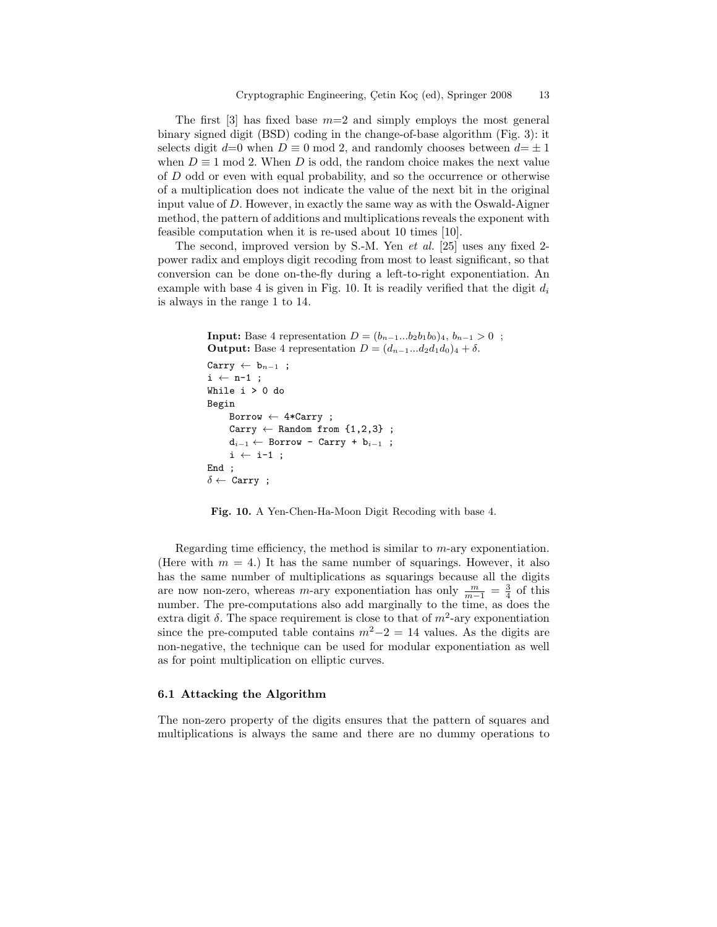The first [3] has fixed base  $m=2$  and simply employs the most general binary signed digit (BSD) coding in the change-of-base algorithm (Fig. 3): it selects digit  $d=0$  when  $D \equiv 0 \mod 2$ , and randomly chooses between  $d=\pm 1$ when  $D \equiv 1 \mod 2$ . When D is odd, the random choice makes the next value of D odd or even with equal probability, and so the occurrence or otherwise of a multiplication does not indicate the value of the next bit in the original input value of  $D$ . However, in exactly the same way as with the Oswald-Aigner method, the pattern of additions and multiplications reveals the exponent with feasible computation when it is re-used about 10 times [10].

The second, improved version by S.-M. Yen et al. [25] uses any fixed 2 power radix and employs digit recoding from most to least significant, so that conversion can be done on-the-fly during a left-to-right exponentiation. An example with base 4 is given in Fig. 10. It is readily verified that the digit  $d_i$ is always in the range 1 to 14.

```
Input: Base 4 representation D = (b_{n-1}...b_2b_1b_0)_4, b_{n-1} > 0;
Output: Base 4 representation D = (d_{n-1}...d_2d_1d_0)_4 + \delta.
```

```
Carry \leftarrow b<sub>n−1</sub> ;
i \leftarrow n-1;
While i > 0 do
Begin
      Borrow \leftarrow 4*Carry;
      Carry \leftarrow Random from \{1,2,3\};
      d_{i-1} ← Borrow - Carry + b_{i-1};
      i \leftarrow i-1;
End ;
\delta \leftarrow Carry;
```
Fig. 10. A Yen-Chen-Ha-Moon Digit Recoding with base 4.

Regarding time efficiency, the method is similar to m-ary exponentiation. (Here with  $m = 4$ .) It has the same number of squarings. However, it also has the same number of multiplications as squarings because all the digits are now non-zero, whereas m-ary exponentiation has only  $\frac{m}{m-1} = \frac{3}{4}$  of this number. The pre-computations also add marginally to the time, as does the extra digit  $\delta$ . The space requirement is close to that of  $m^2$ -ary exponentiation since the pre-computed table contains  $m^2-2=14$  values. As the digits are non-negative, the technique can be used for modular exponentiation as well as for point multiplication on elliptic curves.

### 6.1 Attacking the Algorithm

The non-zero property of the digits ensures that the pattern of squares and multiplications is always the same and there are no dummy operations to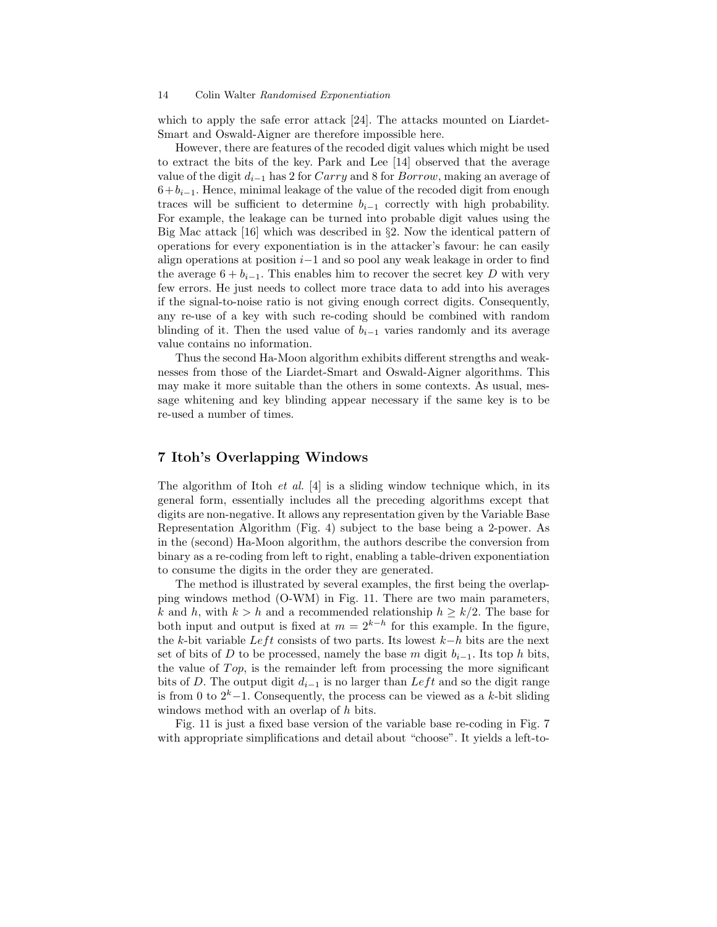which to apply the safe error attack [24]. The attacks mounted on Liardet-Smart and Oswald-Aigner are therefore impossible here.

However, there are features of the recoded digit values which might be used to extract the bits of the key. Park and Lee [14] observed that the average value of the digit  $d_{i-1}$  has 2 for Carry and 8 for Borrow, making an average of  $6+b<sub>i-1</sub>$ . Hence, minimal leakage of the value of the recoded digit from enough traces will be sufficient to determine  $b_{i-1}$  correctly with high probability. For example, the leakage can be turned into probable digit values using the Big Mac attack [16] which was described in §2. Now the identical pattern of operations for every exponentiation is in the attacker's favour: he can easily align operations at position i−1 and so pool any weak leakage in order to find the average  $6 + b_{i-1}$ . This enables him to recover the secret key D with very few errors. He just needs to collect more trace data to add into his averages if the signal-to-noise ratio is not giving enough correct digits. Consequently, any re-use of a key with such re-coding should be combined with random blinding of it. Then the used value of  $b_{i-1}$  varies randomly and its average value contains no information.

Thus the second Ha-Moon algorithm exhibits different strengths and weaknesses from those of the Liardet-Smart and Oswald-Aigner algorithms. This may make it more suitable than the others in some contexts. As usual, message whitening and key blinding appear necessary if the same key is to be re-used a number of times.

# 7 Itoh's Overlapping Windows

The algorithm of Itoh *et al.* [4] is a sliding window technique which, in its general form, essentially includes all the preceding algorithms except that digits are non-negative. It allows any representation given by the Variable Base Representation Algorithm (Fig. 4) subject to the base being a 2-power. As in the (second) Ha-Moon algorithm, the authors describe the conversion from binary as a re-coding from left to right, enabling a table-driven exponentiation to consume the digits in the order they are generated.

The method is illustrated by several examples, the first being the overlapping windows method (O-WM) in Fig. 11. There are two main parameters, k and h, with  $k > h$  and a recommended relationship  $h \geq k/2$ . The base for both input and output is fixed at  $m = 2^{k-h}$  for this example. In the figure, the k-bit variable Left consists of two parts. Its lowest  $k-h$  bits are the next set of bits of D to be processed, namely the base m digit  $b_{i-1}$ . Its top h bits, the value of  $Top$ , is the remainder left from processing the more significant bits of D. The output digit  $d_{i-1}$  is no larger than Left and so the digit range is from 0 to  $2^k-1$ . Consequently, the process can be viewed as a k-bit sliding windows method with an overlap of h bits.

Fig. 11 is just a fixed base version of the variable base re-coding in Fig. 7 with appropriate simplifications and detail about "choose". It yields a left-to-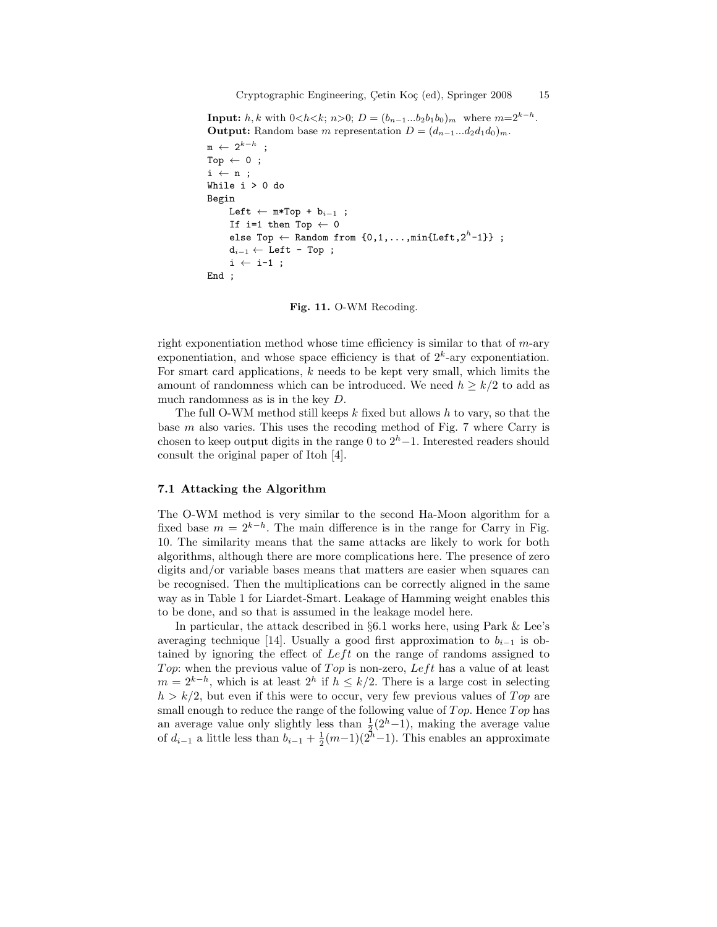**Input:**  $h, k$  with  $0 < h < k$ ;  $n > 0$ ;  $D = (b_{n-1}...b_2b_1b_0)_m$  where  $m=2^{k-h}$ . **Output:** Random base m representation  $D = (d_{n-1}...d_2d_1d_0)_m$ .

```
\texttt{m}\ \leftarrow\ 2^{k-h}\ \texttt{;}Top \leftarrow 0;
i \leftarrow n;
While i > 0 do
Begin
       Left \leftarrow m*Top + b<sub>i-1</sub> ;
       If i=1 then Top \leftarrow 0
        else Top \leftarrow Random from \{0,1,\ldots,\mathtt{min}\{\mathtt{Left},2^h\text{-}1\}\} ;
       d_{i-1} \leftarrow Left - Top ;
       i \leftarrow i-1;
End ;
```
Fig. 11. O-WM Recoding.

right exponentiation method whose time efficiency is similar to that of  $m$ -ary exponentiation, and whose space efficiency is that of  $2<sup>k</sup>$ -ary exponentiation. For smart card applications,  $k$  needs to be kept very small, which limits the amount of randomness which can be introduced. We need  $h \geq k/2$  to add as much randomness as is in the key D.

The full O-WM method still keeps  $k$  fixed but allows  $h$  to vary, so that the base m also varies. This uses the recoding method of Fig. 7 where Carry is chosen to keep output digits in the range 0 to  $2<sup>h</sup> - 1$ . Interested readers should consult the original paper of Itoh [4].

### 7.1 Attacking the Algorithm

The O-WM method is very similar to the second Ha-Moon algorithm for a fixed base  $m = 2^{k-h}$ . The main difference is in the range for Carry in Fig. 10. The similarity means that the same attacks are likely to work for both algorithms, although there are more complications here. The presence of zero digits and/or variable bases means that matters are easier when squares can be recognised. Then the multiplications can be correctly aligned in the same way as in Table 1 for Liardet-Smart. Leakage of Hamming weight enables this to be done, and so that is assumed in the leakage model here.

In particular, the attack described in §6.1 works here, using Park & Lee's averaging technique [14]. Usually a good first approximation to  $b_{i-1}$  is obtained by ignoring the effect of  $Left$  on the range of randoms assigned to Top: when the previous value of Top is non-zero, Left has a value of at least  $m = 2^{k-h}$ , which is at least  $2^h$  if  $h \leq k/2$ . There is a large cost in selecting  $h > k/2$ , but even if this were to occur, very few previous values of Top are small enough to reduce the range of the following value of  $Top$ . Hence  $Top$  has an average value only slightly less than  $\frac{1}{2}(2<sup>h</sup>-1)$ , making the average value of  $d_{i-1}$  a little less than  $b_{i-1} + \frac{1}{2}(m-1)(2h-1)$ . This enables an approximate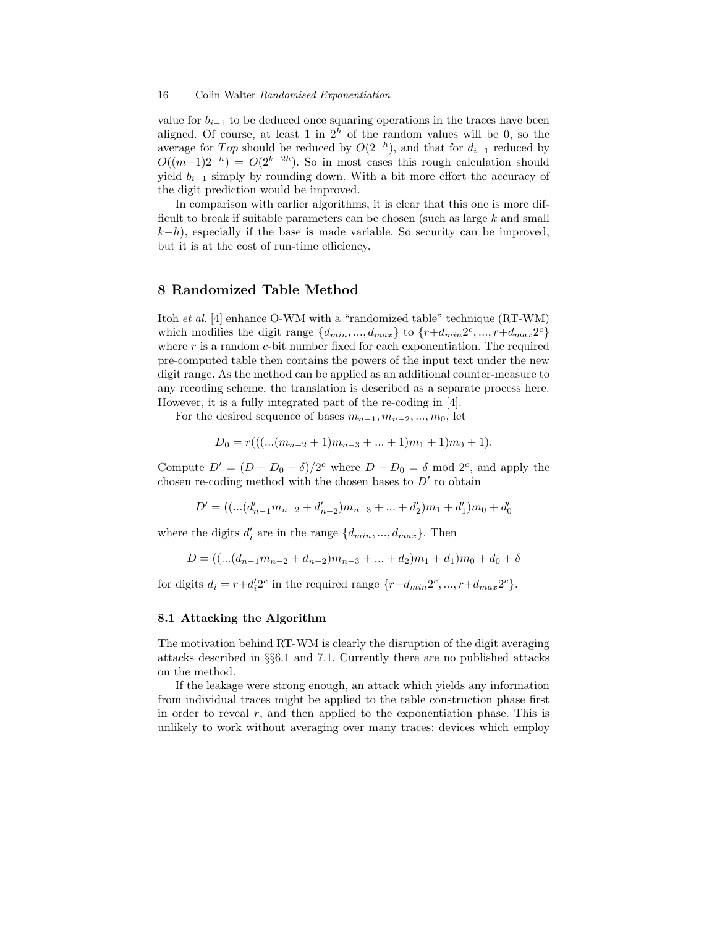value for  $b_{i-1}$  to be deduced once squaring operations in the traces have been aligned. Of course, at least 1 in  $2<sup>h</sup>$  of the random values will be 0, so the average for  $Top$  should be reduced by  $O(2^{-h})$ , and that for  $d_{i-1}$  reduced by  $O((m-1)2^{-h}) = O(2^{k-2h})$ . So in most cases this rough calculation should yield  $b_{i-1}$  simply by rounding down. With a bit more effort the accuracy of the digit prediction would be improved.

In comparison with earlier algorithms, it is clear that this one is more difficult to break if suitable parameters can be chosen (such as large  $k$  and small  $(k-h)$ , especially if the base is made variable. So security can be improved, but it is at the cost of run-time efficiency.

# 8 Randomized Table Method

Itoh et al. [4] enhance O-WM with a "randomized table" technique (RT-WM) which modifies the digit range  $\{d_{min}, ..., d_{max}\}$  to  $\{r+d_{min}2^c, ..., r+d_{max}2^c\}$ where  $r$  is a random  $c$ -bit number fixed for each exponentiation. The required pre-computed table then contains the powers of the input text under the new digit range. As the method can be applied as an additional counter-measure to any recoding scheme, the translation is described as a separate process here. However, it is a fully integrated part of the re-coding in [4].

For the desired sequence of bases  $m_{n-1}, m_{n-2}, ..., m_0$ , let

$$
D_0 = r(((...(m_{n-2} + 1)m_{n-3} + ... + 1)m_1 + 1)m_0 + 1).
$$

Compute  $D' = (D - D_0 - \delta)/2^c$  where  $D - D_0 = \delta$  mod  $2^c$ , and apply the chosen re-coding method with the chosen bases to  $D'$  to obtain

$$
D' = ((...(d'_{n-1}m_{n-2} + d'_{n-2})m_{n-3} + ... + d'_{2})m_1 + d'_1)m_0 + d'_0
$$

where the digits  $d'_i$  are in the range  $\{d_{min}, ..., d_{max}\}$ . Then

$$
D = \left( \left( \dots \left( d_{n-1} m_{n-2} + d_{n-2} \right) m_{n-3} + \dots + d_2 \right) m_1 + d_1 \right) m_0 + d_0 + \delta
$$

for digits  $d_i = r + d'_i 2^c$  in the required range  $\{r + d_{min} 2^c, ..., r + d_{max} 2^c\}.$ 

### 8.1 Attacking the Algorithm

The motivation behind RT-WM is clearly the disruption of the digit averaging attacks described in §§6.1 and 7.1. Currently there are no published attacks on the method.

If the leakage were strong enough, an attack which yields any information from individual traces might be applied to the table construction phase first in order to reveal  $r$ , and then applied to the exponentiation phase. This is unlikely to work without averaging over many traces: devices which employ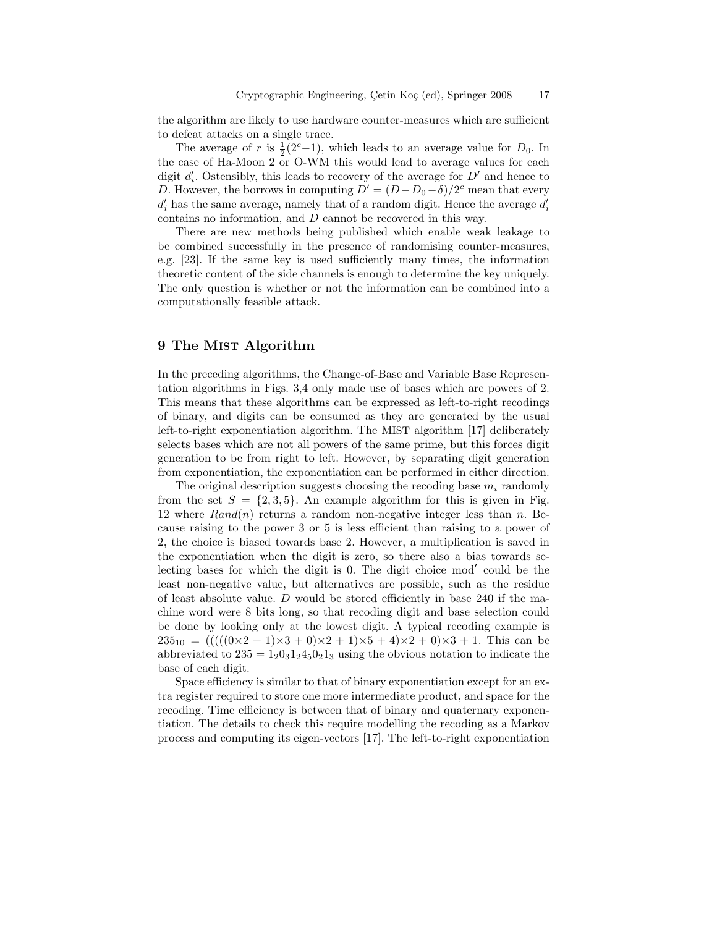the algorithm are likely to use hardware counter-measures which are sufficient to defeat attacks on a single trace.

The average of r is  $\frac{1}{2}(2^{c}-1)$ , which leads to an average value for  $D_0$ . In the case of Ha-Moon 2 or O-WM this would lead to average values for each digit  $d'_{i}$ . Ostensibly, this leads to recovery of the average for  $D'$  and hence to D. However, the borrows in computing  $D' = (D - D_0 - \delta)/2^c$  mean that every  $d'_i$  has the same average, namely that of a random digit. Hence the average  $d'_i$ contains no information, and D cannot be recovered in this way.

There are new methods being published which enable weak leakage to be combined successfully in the presence of randomising counter-measures, e.g. [23]. If the same key is used sufficiently many times, the information theoretic content of the side channels is enough to determine the key uniquely. The only question is whether or not the information can be combined into a computationally feasible attack.

# 9 The MIST Algorithm

In the preceding algorithms, the Change-of-Base and Variable Base Representation algorithms in Figs. 3,4 only made use of bases which are powers of 2. This means that these algorithms can be expressed as left-to-right recodings of binary, and digits can be consumed as they are generated by the usual left-to-right exponentiation algorithm. The MIST algorithm [17] deliberately selects bases which are not all powers of the same prime, but this forces digit generation to be from right to left. However, by separating digit generation from exponentiation, the exponentiation can be performed in either direction.

The original description suggests choosing the recoding base  $m_i$  randomly from the set  $S = \{2, 3, 5\}$ . An example algorithm for this is given in Fig. 12 where  $Rand(n)$  returns a random non-negative integer less than n. Because raising to the power 3 or 5 is less efficient than raising to a power of 2, the choice is biased towards base 2. However, a multiplication is saved in the exponentiation when the digit is zero, so there also a bias towards selecting bases for which the digit is  $0$ . The digit choice mod' could be the least non-negative value, but alternatives are possible, such as the residue of least absolute value.  $D$  would be stored efficiently in base 240 if the machine word were 8 bits long, so that recoding digit and base selection could be done by looking only at the lowest digit. A typical recoding example is  $235_{10} = (((((0 \times 2 + 1) \times 3 + 0) \times 2 + 1) \times 5 + 4) \times 2 + 0) \times 3 + 1$ . This can be abbreviated to  $235 = 120312450213$  using the obvious notation to indicate the base of each digit.

Space efficiency is similar to that of binary exponentiation except for an extra register required to store one more intermediate product, and space for the recoding. Time efficiency is between that of binary and quaternary exponentiation. The details to check this require modelling the recoding as a Markov process and computing its eigen-vectors [17]. The left-to-right exponentiation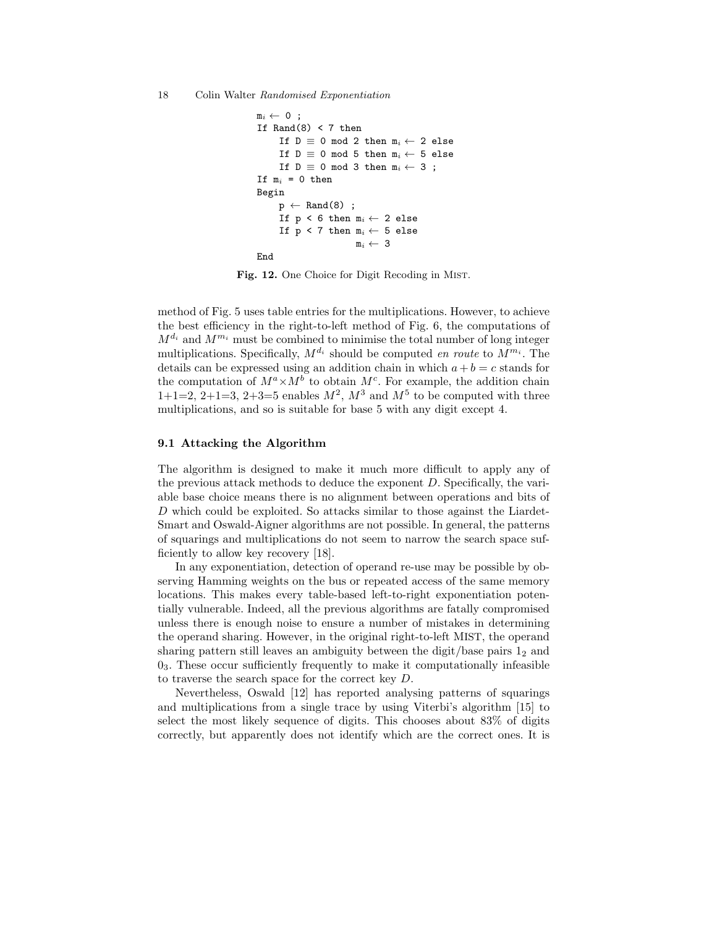```
m_i \leftarrow 0;
If Rand(8) < 7 then
     If D \equiv 0 \mod 2 then m_i \leftarrow 2 else
     If D \equiv 0 \mod 5 then m_i \leftarrow 5 else
     If D \equiv 0 \mod 3 then m_i \leftarrow 3;
If m_i = 0 then
Begin
     p \leftarrow Rand(8);
     If p < 6 then m_i \leftarrow 2 else
     If p < 7 then m_i \leftarrow 5 else
                         m_i \leftarrow 3End
```
Fig. 12. One Choice for Digit Recoding in Mist.

method of Fig. 5 uses table entries for the multiplications. However, to achieve the best efficiency in the right-to-left method of Fig. 6, the computations of  $M^{d_i}$  and  $M^{m_i}$  must be combined to minimise the total number of long integer multiplications. Specifically,  $M^{d_i}$  should be computed en route to  $M^{m_i}$ . The details can be expressed using an addition chain in which  $a + b = c$  stands for the computation of  $M^a \times M^b$  to obtain  $M^c$ . For example, the addition chain  $1+1=2, 2+1=3, 2+3=5$  enables  $M^2, M^3$  and  $M^5$  to be computed with three multiplications, and so is suitable for base 5 with any digit except 4.

### 9.1 Attacking the Algorithm

The algorithm is designed to make it much more difficult to apply any of the previous attack methods to deduce the exponent D. Specifically, the variable base choice means there is no alignment between operations and bits of D which could be exploited. So attacks similar to those against the Liardet-Smart and Oswald-Aigner algorithms are not possible. In general, the patterns of squarings and multiplications do not seem to narrow the search space sufficiently to allow key recovery [18].

In any exponentiation, detection of operand re-use may be possible by observing Hamming weights on the bus or repeated access of the same memory locations. This makes every table-based left-to-right exponentiation potentially vulnerable. Indeed, all the previous algorithms are fatally compromised unless there is enough noise to ensure a number of mistakes in determining the operand sharing. However, in the original right-to-left MIST, the operand sharing pattern still leaves an ambiguity between the digit/base pairs  $1<sub>2</sub>$  and  $0<sub>3</sub>$ . These occur sufficiently frequently to make it computationally infeasible to traverse the search space for the correct key D.

Nevertheless, Oswald [12] has reported analysing patterns of squarings and multiplications from a single trace by using Viterbi's algorithm [15] to select the most likely sequence of digits. This chooses about 83% of digits correctly, but apparently does not identify which are the correct ones. It is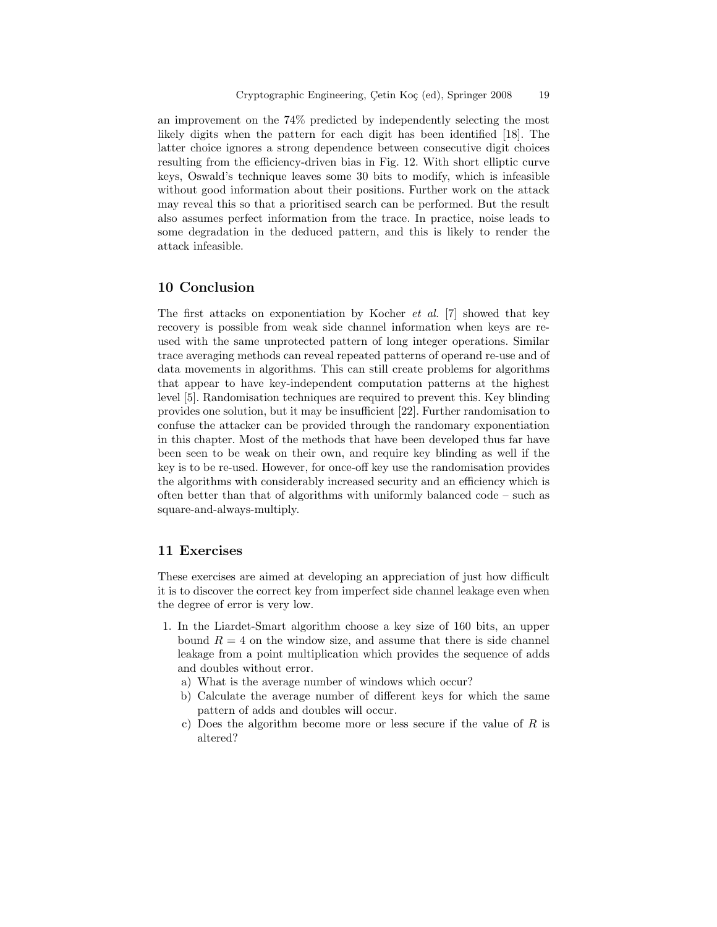an improvement on the 74% predicted by independently selecting the most likely digits when the pattern for each digit has been identified [18]. The latter choice ignores a strong dependence between consecutive digit choices resulting from the efficiency-driven bias in Fig. 12. With short elliptic curve keys, Oswald's technique leaves some 30 bits to modify, which is infeasible without good information about their positions. Further work on the attack may reveal this so that a prioritised search can be performed. But the result also assumes perfect information from the trace. In practice, noise leads to some degradation in the deduced pattern, and this is likely to render the attack infeasible.

### 10 Conclusion

The first attacks on exponentiation by Kocher  $et$  al. [7] showed that key recovery is possible from weak side channel information when keys are reused with the same unprotected pattern of long integer operations. Similar trace averaging methods can reveal repeated patterns of operand re-use and of data movements in algorithms. This can still create problems for algorithms that appear to have key-independent computation patterns at the highest level [5]. Randomisation techniques are required to prevent this. Key blinding provides one solution, but it may be insufficient [22]. Further randomisation to confuse the attacker can be provided through the randomary exponentiation in this chapter. Most of the methods that have been developed thus far have been seen to be weak on their own, and require key blinding as well if the key is to be re-used. However, for once-off key use the randomisation provides the algorithms with considerably increased security and an efficiency which is often better than that of algorithms with uniformly balanced code – such as square-and-always-multiply.

### 11 Exercises

These exercises are aimed at developing an appreciation of just how difficult it is to discover the correct key from imperfect side channel leakage even when the degree of error is very low.

- 1. In the Liardet-Smart algorithm choose a key size of 160 bits, an upper bound  $R = 4$  on the window size, and assume that there is side channel leakage from a point multiplication which provides the sequence of adds and doubles without error.
	- a) What is the average number of windows which occur?
	- b) Calculate the average number of different keys for which the same pattern of adds and doubles will occur.
	- c) Does the algorithm become more or less secure if the value of  $R$  is altered?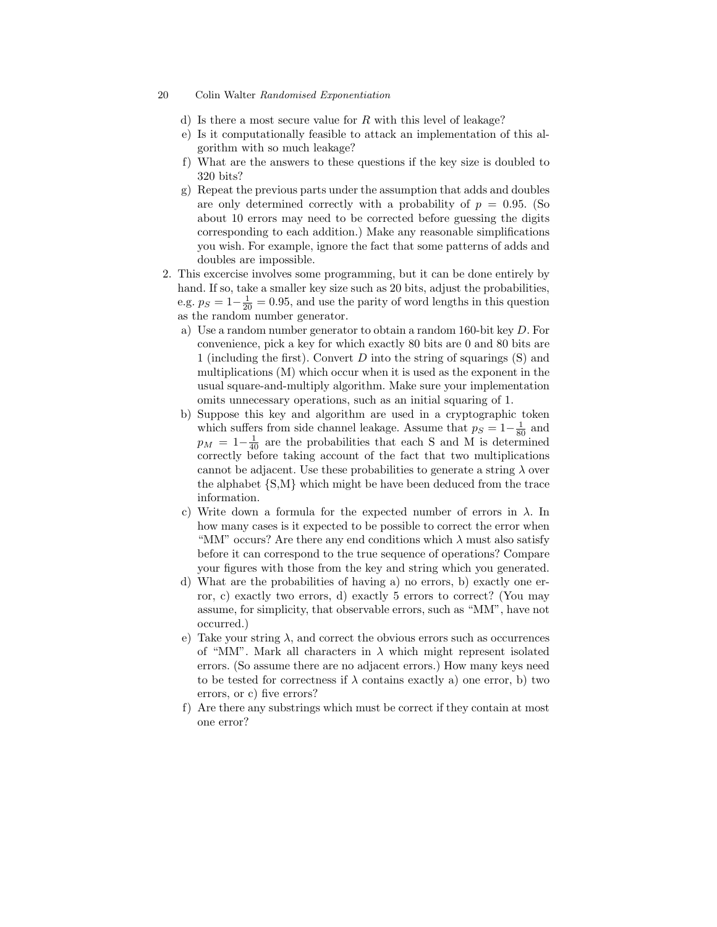- d) Is there a most secure value for R with this level of leakage?
- e) Is it computationally feasible to attack an implementation of this algorithm with so much leakage?
- f) What are the answers to these questions if the key size is doubled to 320 bits?
- g) Repeat the previous parts under the assumption that adds and doubles are only determined correctly with a probability of  $p = 0.95$ . (So about 10 errors may need to be corrected before guessing the digits corresponding to each addition.) Make any reasonable simplifications you wish. For example, ignore the fact that some patterns of adds and doubles are impossible.
- 2. This excercise involves some programming, but it can be done entirely by hand. If so, take a smaller key size such as 20 bits, adjust the probabilities, e.g.  $p_S = 1 - \frac{1}{20} = 0.95$ , and use the parity of word lengths in this question as the random number generator.
	- a) Use a random number generator to obtain a random 160-bit key D. For convenience, pick a key for which exactly 80 bits are 0 and 80 bits are 1 (including the first). Convert  $D$  into the string of squarings  $(S)$  and multiplications (M) which occur when it is used as the exponent in the usual square-and-multiply algorithm. Make sure your implementation omits unnecessary operations, such as an initial squaring of 1.
	- b) Suppose this key and algorithm are used in a cryptographic token which suffers from side channel leakage. Assume that  $p_S = 1 - \frac{1}{80}$  and  $p_M = 1-\frac{1}{40}$  are the probabilities that each S and M is determined correctly before taking account of the fact that two multiplications cannot be adjacent. Use these probabilities to generate a string  $\lambda$  over the alphabet  $\{S,M\}$  which might be have been deduced from the trace information.
	- c) Write down a formula for the expected number of errors in  $\lambda$ . In how many cases is it expected to be possible to correct the error when "MM" occurs? Are there any end conditions which  $\lambda$  must also satisfy before it can correspond to the true sequence of operations? Compare your figures with those from the key and string which you generated.
	- d) What are the probabilities of having a) no errors, b) exactly one error, c) exactly two errors, d) exactly 5 errors to correct? (You may assume, for simplicity, that observable errors, such as "MM", have not occurred.)
	- e) Take your string  $\lambda$ , and correct the obvious errors such as occurrences of "MM". Mark all characters in  $\lambda$  which might represent isolated errors. (So assume there are no adjacent errors.) How many keys need to be tested for correctness if  $\lambda$  contains exactly a) one error, b) two errors, or c) five errors?
	- f) Are there any substrings which must be correct if they contain at most one error?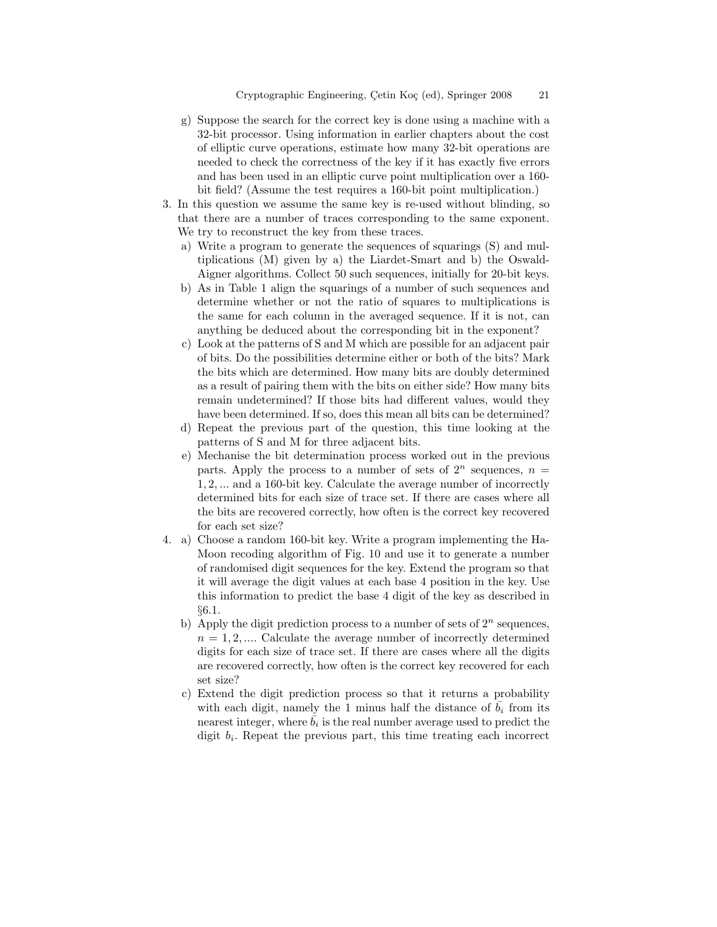- g) Suppose the search for the correct key is done using a machine with a 32-bit processor. Using information in earlier chapters about the cost of elliptic curve operations, estimate how many 32-bit operations are needed to check the correctness of the key if it has exactly five errors and has been used in an elliptic curve point multiplication over a 160 bit field? (Assume the test requires a 160-bit point multiplication.)
- 3. In this question we assume the same key is re-used without blinding, so that there are a number of traces corresponding to the same exponent. We try to reconstruct the key from these traces.
	- a) Write a program to generate the sequences of squarings (S) and multiplications (M) given by a) the Liardet-Smart and b) the Oswald-Aigner algorithms. Collect 50 such sequences, initially for 20-bit keys.
	- b) As in Table 1 align the squarings of a number of such sequences and determine whether or not the ratio of squares to multiplications is the same for each column in the averaged sequence. If it is not, can anything be deduced about the corresponding bit in the exponent?
	- c) Look at the patterns of S and M which are possible for an adjacent pair of bits. Do the possibilities determine either or both of the bits? Mark the bits which are determined. How many bits are doubly determined as a result of pairing them with the bits on either side? How many bits remain undetermined? If those bits had different values, would they have been determined. If so, does this mean all bits can be determined?
	- d) Repeat the previous part of the question, this time looking at the patterns of S and M for three adjacent bits.
	- e) Mechanise the bit determination process worked out in the previous parts. Apply the process to a number of sets of  $2^n$  sequences,  $n =$ 1, 2, ... and a 160-bit key. Calculate the average number of incorrectly determined bits for each size of trace set. If there are cases where all the bits are recovered correctly, how often is the correct key recovered for each set size?
- 4. a) Choose a random 160-bit key. Write a program implementing the Ha-Moon recoding algorithm of Fig. 10 and use it to generate a number of randomised digit sequences for the key. Extend the program so that it will average the digit values at each base 4 position in the key. Use this information to predict the base 4 digit of the key as described in §6.1.
	- b) Apply the digit prediction process to a number of sets of  $2^n$  sequences,  $n = 1, 2, \dots$  Calculate the average number of incorrectly determined digits for each size of trace set. If there are cases where all the digits are recovered correctly, how often is the correct key recovered for each set size?
	- c) Extend the digit prediction process so that it returns a probability with each digit, namely the 1 minus half the distance of  $b_i$  from its nearest integer, where  $\bar{b}_i$  is the real number average used to predict the digit  $b_i$ . Repeat the previous part, this time treating each incorrect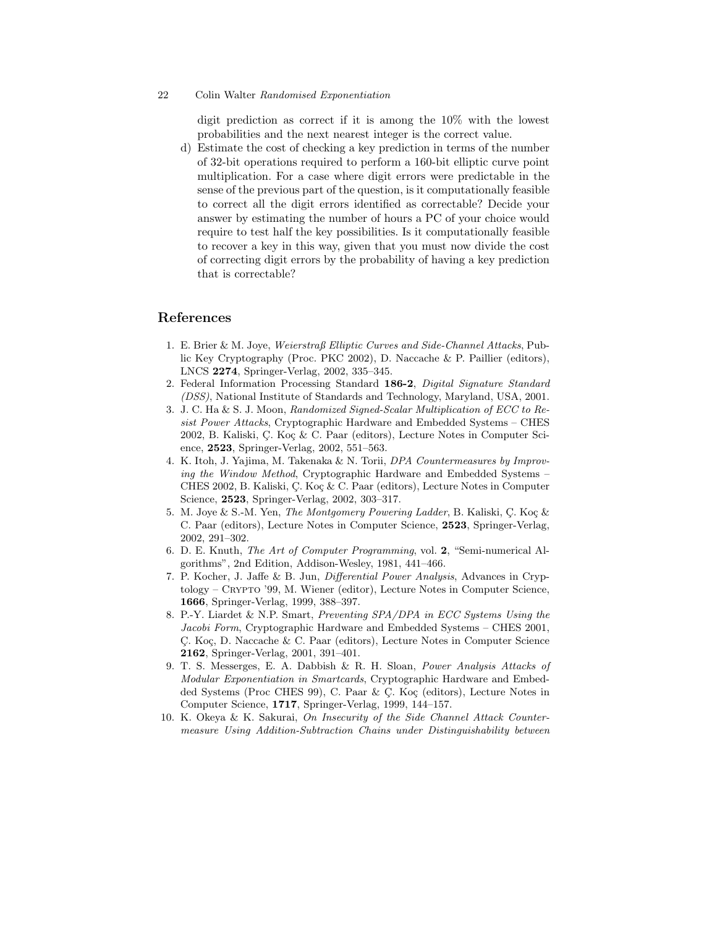digit prediction as correct if it is among the 10% with the lowest probabilities and the next nearest integer is the correct value.

d) Estimate the cost of checking a key prediction in terms of the number of 32-bit operations required to perform a 160-bit elliptic curve point multiplication. For a case where digit errors were predictable in the sense of the previous part of the question, is it computationally feasible to correct all the digit errors identified as correctable? Decide your answer by estimating the number of hours a PC of your choice would require to test half the key possibilities. Is it computationally feasible to recover a key in this way, given that you must now divide the cost of correcting digit errors by the probability of having a key prediction that is correctable?

# References

- 1. E. Brier & M. Joye, Weierstraß Elliptic Curves and Side-Channel Attacks, Public Key Cryptography (Proc. PKC 2002), D. Naccache & P. Paillier (editors), LNCS 2274, Springer-Verlag, 2002, 335–345.
- 2. Federal Information Processing Standard 186-2, Digital Signature Standard (DSS), National Institute of Standards and Technology, Maryland, USA, 2001.
- 3. J. C. Ha & S. J. Moon, Randomized Signed-Scalar Multiplication of ECC to Resist Power Attacks, Cryptographic Hardware and Embedded Systems – CHES 2002, B. Kaliski, C. Koç & C. Paar (editors), Lecture Notes in Computer Science, 2523, Springer-Verlag, 2002, 551–563.
- 4. K. Itoh, J. Yajima, M. Takenaka & N. Torii, DPA Countermeasures by Improving the Window Method, Cryptographic Hardware and Embedded Systems – CHES 2002, B. Kaliski, C. Koç & C. Paar (editors), Lecture Notes in Computer Science, 2523, Springer-Verlag, 2002, 303–317.
- 5. M. Joye & S.-M. Yen, The Montgomery Powering Ladder, B. Kaliski, C. Koç & C. Paar (editors), Lecture Notes in Computer Science, 2523, Springer-Verlag, 2002, 291–302.
- 6. D. E. Knuth, The Art of Computer Programming, vol. 2, "Semi-numerical Algorithms", 2nd Edition, Addison-Wesley, 1981, 441–466.
- 7. P. Kocher, J. Jaffe & B. Jun, Differential Power Analysis, Advances in Cryptology – Crypto '99, M. Wiener (editor), Lecture Notes in Computer Science, 1666, Springer-Verlag, 1999, 388–397.
- 8. P.-Y. Liardet & N.P. Smart, Preventing SPA/DPA in ECC Systems Using the Jacobi Form, Cryptographic Hardware and Embedded Systems - CHES 2001, C. Koç, D. Naccache & C. Paar (editors), Lecture Notes in Computer Science 2162, Springer-Verlag, 2001, 391–401.
- 9. T. S. Messerges, E. A. Dabbish & R. H. Sloan, Power Analysis Attacks of Modular Exponentiation in Smartcards, Cryptographic Hardware and Embedded Systems (Proc CHES 99), C. Paar  $\&$  C. Koç (editors), Lecture Notes in Computer Science, 1717, Springer-Verlag, 1999, 144–157.
- 10. K. Okeya & K. Sakurai, On Insecurity of the Side Channel Attack Countermeasure Using Addition-Subtraction Chains under Distinguishability between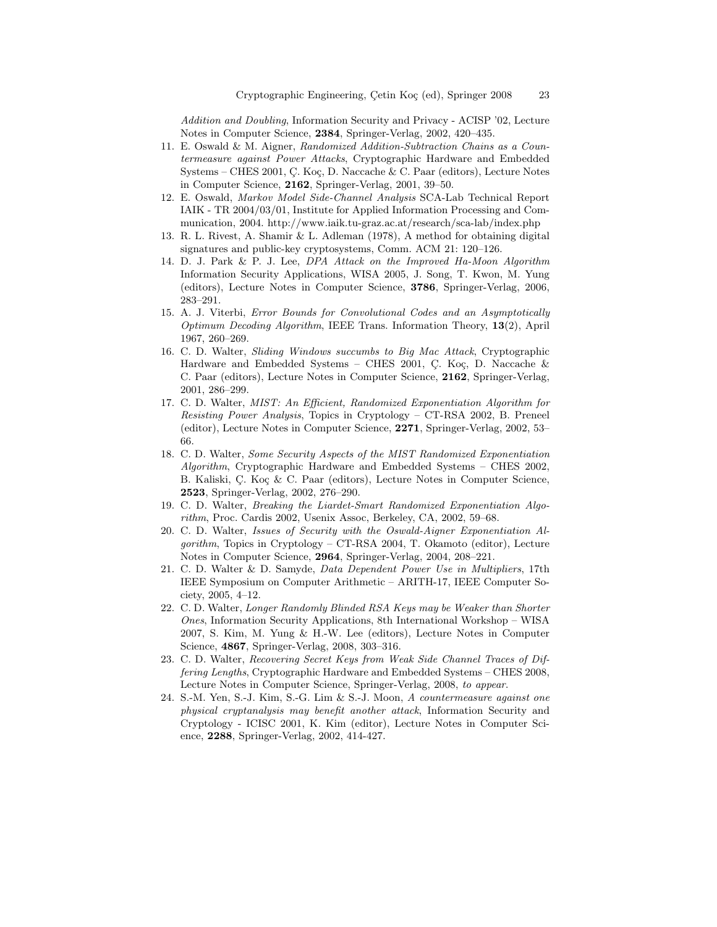Addition and Doubling, Information Security and Privacy - ACISP '02, Lecture Notes in Computer Science, 2384, Springer-Verlag, 2002, 420–435.

- 11. E. Oswald & M. Aigner, Randomized Addition-Subtraction Chains as a Countermeasure against Power Attacks, Cryptographic Hardware and Embedded Systems – CHES 2001, C. Koç, D. Naccache & C. Paar (editors), Lecture Notes in Computer Science, 2162, Springer-Verlag, 2001, 39–50.
- 12. E. Oswald, Markov Model Side-Channel Analysis SCA-Lab Technical Report IAIK - TR 2004/03/01, Institute for Applied Information Processing and Communication, 2004. http://www.iaik.tu-graz.ac.at/research/sca-lab/index.php
- 13. R. L. Rivest, A. Shamir & L. Adleman (1978), A method for obtaining digital signatures and public-key cryptosystems, Comm. ACM 21: 120–126.
- 14. D. J. Park & P. J. Lee, DPA Attack on the Improved Ha-Moon Algorithm Information Security Applications, WISA 2005, J. Song, T. Kwon, M. Yung (editors), Lecture Notes in Computer Science, 3786, Springer-Verlag, 2006, 283–291.
- 15. A. J. Viterbi, Error Bounds for Convolutional Codes and an Asymptotically Optimum Decoding Algorithm, IEEE Trans. Information Theory, 13(2), April 1967, 260–269.
- 16. C. D. Walter, Sliding Windows succumbs to Big Mac Attack, Cryptographic Hardware and Embedded Systems – CHES 2001, C. Koç, D. Naccache  $\&$ C. Paar (editors), Lecture Notes in Computer Science, 2162, Springer-Verlag, 2001, 286–299.
- 17. C. D. Walter, MIST: An Efficient, Randomized Exponentiation Algorithm for Resisting Power Analysis, Topics in Cryptology – CT-RSA 2002, B. Preneel (editor), Lecture Notes in Computer Science, 2271, Springer-Verlag, 2002, 53– 66.
- 18. C. D. Walter, Some Security Aspects of the MIST Randomized Exponentiation Algorithm, Cryptographic Hardware and Embedded Systems – CHES 2002, B. Kaliski, C. Koç & C. Paar (editors), Lecture Notes in Computer Science, 2523, Springer-Verlag, 2002, 276–290.
- 19. C. D. Walter, Breaking the Liardet-Smart Randomized Exponentiation Algorithm, Proc. Cardis 2002, Usenix Assoc, Berkeley, CA, 2002, 59–68.
- 20. C. D. Walter, Issues of Security with the Oswald-Aigner Exponentiation Al $qorithm$ , Topics in Cryptology – CT-RSA 2004, T. Okamoto (editor), Lecture Notes in Computer Science, 2964, Springer-Verlag, 2004, 208–221.
- 21. C. D. Walter & D. Samyde, Data Dependent Power Use in Multipliers, 17th IEEE Symposium on Computer Arithmetic – ARITH-17, IEEE Computer Society, 2005, 4–12.
- 22. C. D. Walter, Longer Randomly Blinded RSA Keys may be Weaker than Shorter Ones, Information Security Applications, 8th International Workshop – WISA 2007, S. Kim, M. Yung & H.-W. Lee (editors), Lecture Notes in Computer Science, 4867, Springer-Verlag, 2008, 303–316.
- 23. C. D. Walter, Recovering Secret Keys from Weak Side Channel Traces of Differing Lengths, Cryptographic Hardware and Embedded Systems – CHES 2008, Lecture Notes in Computer Science, Springer-Verlag, 2008, to appear.
- 24. S.-M. Yen, S.-J. Kim, S.-G. Lim & S.-J. Moon, A countermeasure against one physical cryptanalysis may benefit another attack, Information Security and Cryptology - ICISC 2001, K. Kim (editor), Lecture Notes in Computer Science, 2288, Springer-Verlag, 2002, 414-427.